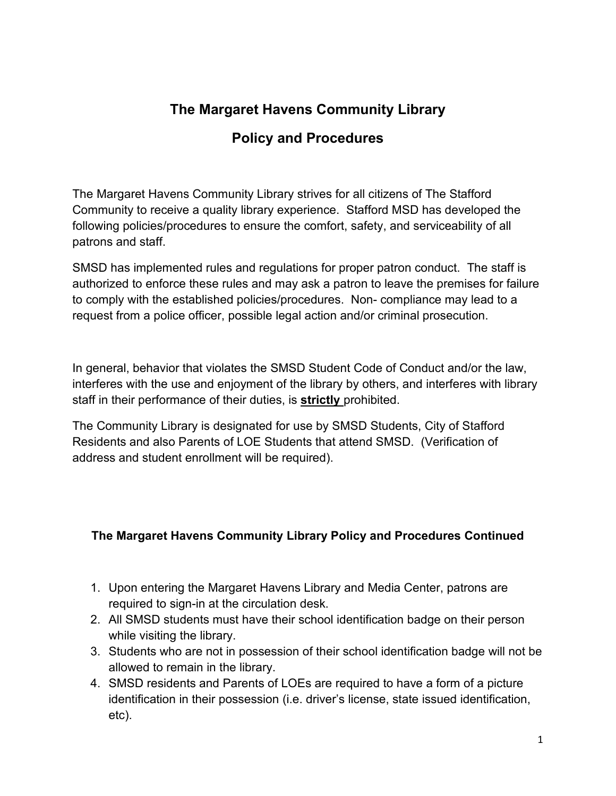# **The Margaret Havens Community Library**

## **Policy and Procedures**

The Margaret Havens Community Library strives for all citizens of The Stafford Community to receive a quality library experience. Stafford MSD has developed the following policies/procedures to ensure the comfort, safety, and serviceability of all patrons and staff.

SMSD has implemented rules and regulations for proper patron conduct. The staff is authorized to enforce these rules and may ask a patron to leave the premises for failure to comply with the established policies/procedures. Non- compliance may lead to a request from a police officer, possible legal action and/or criminal prosecution.

In general, behavior that violates the SMSD Student Code of Conduct and/or the law, interferes with the use and enjoyment of the library by others, and interferes with library staff in their performance of their duties, is **strictly** prohibited.

The Community Library is designated for use by SMSD Students, City of Stafford Residents and also Parents of LOE Students that attend SMSD. (Verification of address and student enrollment will be required).

#### **The Margaret Havens Community Library Policy and Procedures Continued**

- 1. Upon entering the Margaret Havens Library and Media Center, patrons are required to sign-in at the circulation desk.
- 2. All SMSD students must have their school identification badge on their person while visiting the library.
- 3. Students who are not in possession of their school identification badge will not be allowed to remain in the library.
- 4. SMSD residents and Parents of LOEs are required to have a form of a picture identification in their possession (i.e. driver's license, state issued identification, etc).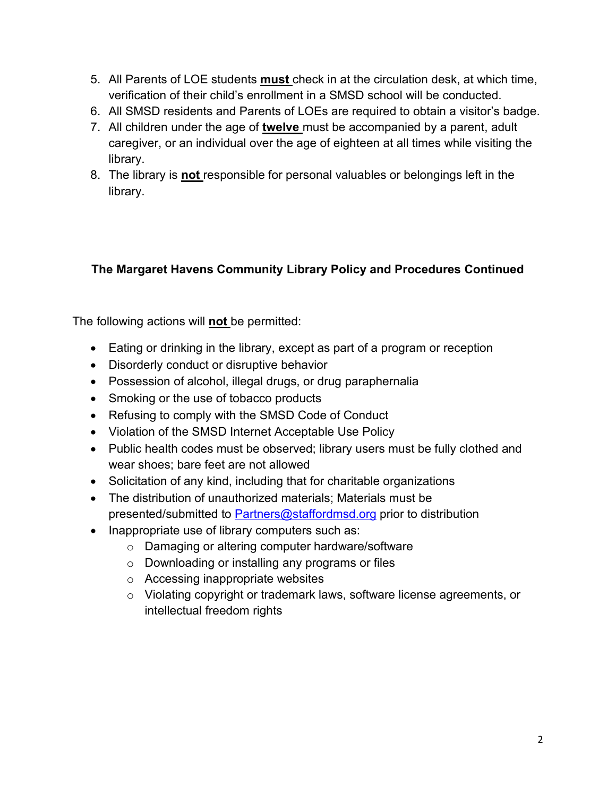- 5. All Parents of LOE students **must** check in at the circulation desk, at which time, verification of their child's enrollment in a SMSD school will be conducted.
- 6. All SMSD residents and Parents of LOEs are required to obtain a visitor's badge.
- 7. All children under the age of **twelve** must be accompanied by a parent, adult caregiver, or an individual over the age of eighteen at all times while visiting the library.
- 8. The library is **not** responsible for personal valuables or belongings left in the library.

### **The Margaret Havens Community Library Policy and Procedures Continued**

The following actions will **not** be permitted:

- Eating or drinking in the library, except as part of a program or reception
- Disorderly conduct or disruptive behavior
- Possession of alcohol, illegal drugs, or drug paraphernalia
- Smoking or the use of tobacco products
- Refusing to comply with the SMSD Code of Conduct
- Violation of the SMSD Internet Acceptable Use Policy
- Public health codes must be observed; library users must be fully clothed and wear shoes; bare feet are not allowed
- Solicitation of any kind, including that for charitable organizations
- The distribution of unauthorized materials; Materials must be presented/submitted to [Partners@staffordmsd.org](mailto:Partners@staffordmsd.org) prior to distribution
- Inappropriate use of library computers such as:
	- o Damaging or altering computer hardware/software
	- o Downloading or installing any programs or files
	- o Accessing inappropriate websites
	- o Violating copyright or trademark laws, software license agreements, or intellectual freedom rights